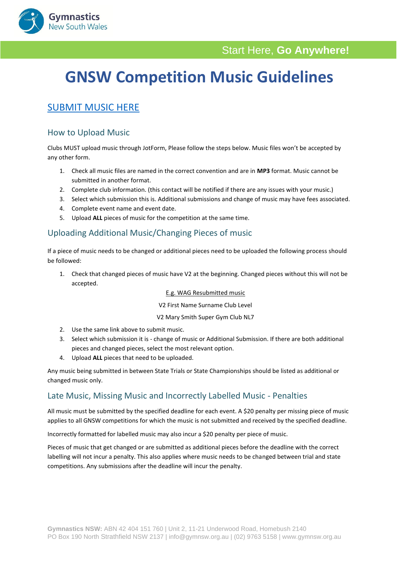

# **GNSW Competition Music Guidelines**

# [SUBMIT MUSIC HERE](https://form.jotform.com/203217832739862)

**Gymnastics** New South Wales

# How to Upload Music

Clubs MUST upload music through JotForm, Please follow the steps below. Music files won't be accepted by any other form.

- 1. Check all music files are named in the correct convention and are in **MP3** format. Music cannot be submitted in another format.
- 2. Complete club information. (this contact will be notified if there are any issues with your music.)
- 3. Select which submission this is. Additional submissions and change of music may have fees associated.
- 4. Complete event name and event date.
- 5. Upload **ALL** pieces of music for the competition at the same time.

# Uploading Additional Music/Changing Pieces of music

If a piece of music needs to be changed or additional pieces need to be uploaded the following process should be followed:

1. Check that changed pieces of music have V2 at the beginning. Changed pieces without this will not be accepted.

#### E.g. WAG Resubmitted music

#### V2 First Name Surname Club Level

#### V2 Mary Smith Super Gym Club NL7

- 2. Use the same link above to submit music.
- 3. Select which submission it is change of music or Additional Submission. If there are both additional pieces and changed pieces, select the most relevant option.
- 4. Upload **ALL** pieces that need to be uploaded.

Any music being submitted in between State Trials or State Championships should be listed as additional or changed music only.

# Late Music, Missing Music and Incorrectly Labelled Music - Penalties

All music must be submitted by the specified deadline for each event. A \$20 penalty per missing piece of music applies to all GNSW competitions for which the music is not submitted and received by the specified deadline.

Incorrectly formatted for labelled music may also incur a \$20 penalty per piece of music.

Pieces of music that get changed or are submitted as additional pieces before the deadline with the correct labelling will not incur a penalty. This also applies where music needs to be changed between trial and state competitions. Any submissions after the deadline will incur the penalty.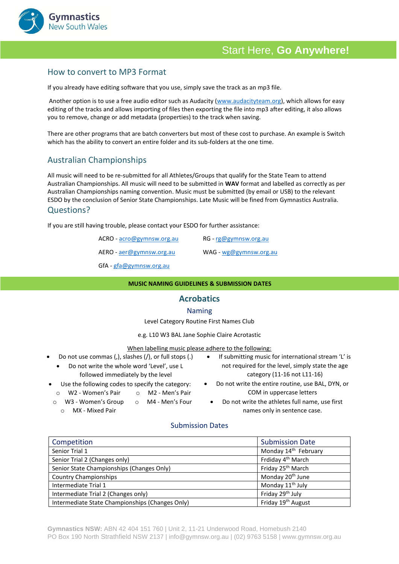

# Start Here, **Go Anywhere!**

# How to convert to MP3 Format

If you already have editing software that you use, simply save the track as an mp3 file.

Another option is to use a free audio editor such as Audacity [\(www.audacityteam.org\)](http://www.audacityteam.org/), which allows for easy editing of the tracks and allows importing of files then exporting the file into mp3 after editing, it also allows you to remove, change or add metadata (properties) to the track when saving.

There are other programs that are batch converters but most of these cost to purchase. An example is Switch which has the ability to convert an entire folder and its sub-folders at the one time.

# Australian Championships

All music will need to be re-submitted for all Athletes/Groups that qualify for the State Team to attend Australian Championships. All music will need to be submitted in **WAV** format and labelled as correctly as per Australian Championships naming convention. Music must be submitted (by email or USB) to the relevant ESDO by the conclusion of Senior State Championships. Late Music will be fined from Gymnastics Australia.

#### Questions?

If you are still having trouble, please contact your ESDO for further assistance:

| ACRO - acro@gymnsw.org.au | $RG$ - $rg@gymnsw.org.au$ |
|---------------------------|---------------------------|
| AERO - aer@gymnsw.org.au  | WAG - wg@gymnsw.org.au    |
| r ca                      |                           |

GfA - [gfa@gymnsw.org.au](mailto:gfa@gymnsw.org.au)

#### **MUSIC NAMING GUIDELINES & SUBMISSION DATES**

#### **Acrobatics**

#### Naming

Level Category Routine First Names Club

e.g. L10 W3 BAL Jane Sophie Claire Acrotastic

#### When labelling music please adhere to the following:

- Do not use commas (,), slashes (/), or full stops (.)
	- Do not write the whole word 'Level', use L followed immediately by the level
- Use the following codes to specify the category:
	- o W2 Women's Pair o M2 - Men's Pair
	- W3 Women's Group o M4 - Men's Four
	- o MX Mixed Pair
- If submitting music for international stream 'L' is not required for the level, simply state the age category (11-16 not L11-16)
- Do not write the entire routine, use BAL, DYN, or COM in uppercase letters
	- Do not write the athletes full name, use first names only in sentence case.

### Submission Dates

| Competition                                     | <b>Submission Date</b>           |
|-------------------------------------------------|----------------------------------|
| Senior Trial 1                                  | Monday 14 <sup>th</sup> February |
| Senior Trial 2 (Changes only)                   | Frdiday 4 <sup>th</sup> March    |
| Senior State Championships (Changes Only)       | Friday 25 <sup>th</sup> March    |
| <b>Country Championships</b>                    | Monday 20 <sup>th</sup> June     |
| Intermediate Trial 1                            | Monday 11 <sup>th</sup> July     |
| Intermediate Trial 2 (Changes only)             | Friday 29 <sup>th</sup> July     |
| Intermediate State Championships (Changes Only) | Friday 19 <sup>th</sup> August   |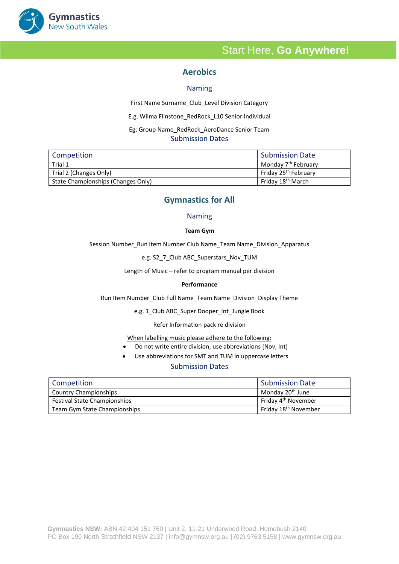

# Start Here, **Go Anywhere!**

# **Aerobics**

#### Naming

First Name Surname\_Club\_Level Division Category

E.g. Wilma Flinstone\_RedRock\_L10 Senior Individual

 Eg: Group Name\_RedRock\_AeroDance Senior Team Submission Dates

| Competition                        | <b>Submission Date</b>           |
|------------------------------------|----------------------------------|
| Trial 1                            | Monday 7 <sup>th</sup> February  |
| Trial 2 (Changes Only)             | Friday 25 <sup>th</sup> February |
| State Championships (Changes Only) | Friday 18 <sup>th</sup> March    |

### **Gymnastics for All**

#### Naming

#### **Team Gym**

Session Number\_Run item Number Club Name\_Team Name\_Division\_Apparatus

e.g. S2\_7\_Club ABC\_Superstars\_Nov\_TUM

Length of Music – refer to program manual per division

#### **Performance**

Run Item Number\_Club Full Name\_Team Name\_Division\_Display Theme

e.g. 1\_Club ABC\_Super Dooper\_Int\_Jungle Book

Refer Information pack re division

When labelling music please adhere to the following:

- Do not write entire division, use abbreviations [Nov, Int]
- Use abbreviations for SMT and TUM in uppercase letters

#### Submission Dates

| Competition                         | Submission Date                  |
|-------------------------------------|----------------------------------|
| <b>Country Championships</b>        | Monday 20 <sup>th</sup> June     |
| <b>Festival State Championships</b> | Friday 4 <sup>th</sup> November  |
| Team Gym State Championships        | Friday 18 <sup>th</sup> November |